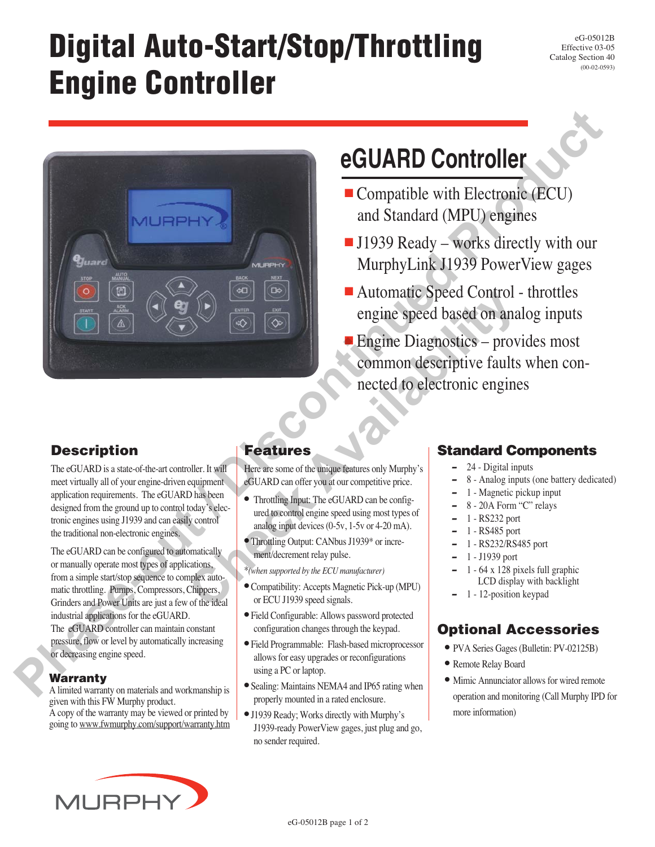# **Digital Auto-Start/Stop/Throttling Engine Controller**

eG-05012B Effective 03-05 Catalog Section 40 (00-02-0593)



## **eGUARD Controller**

- Compatible with Electronic (ECU) and Standard (MPU) engines
- J1939 Ready works directly with our MurphyLink J1939 PowerView gages
- Automatic Speed Control throttles engine speed based on analog inputs
- Engine Diagnostics provides most common descriptive faults when connected to electronic engines

## **Description**

The eGUARD is a state-of-the-art controller. It will meet virtually all of your engine-driven equipment application requirements. The eGUARD has been designed from the ground up to control today's electronic engines using J1939 and can easily control the traditional non-electronic engines.

The eGUARD can be configured to automatically or manually operate most types of applications, from a simple start/stop sequence to complex automatic throttling. Pumps, Compressors, Chippers, Grinders and Power Units are just a few of the ideal industrial applications for the eGUARD. The eGUARD controller can maintain constant pressure, flow or level by automatically increasing or decreasing engine speed.

### **Warranty**

A limited warranty on materials and workmanship is given with this FW Murphy product. A copy of the warranty may be viewed or printed by going to www.fwmurphy.com/support/warranty.htm

## **Features**

Here are some of the unique features only Murphy's eGUARD can offer you at our competitive price.

- Throttling Input: The eGUARD can be configured to control engine speed using most types of analog input devices (0-5v, 1-5v or 4-20 mA).
- Throttling Output: CANbus J1939\* or increment/decrement relay pulse.

\**(when supported by the ECU manufacturer)*

- Compatibility: Accepts Magnetic Pick-up (MPU) or ECU J1939 speed signals.
- Field Configurable: Allows password protected configuration changes through the keypad.
- Field Programmable: Flash-based microprocessor allows for easy upgrades or reconfigurations using a PC or laptop.
- Sealing: Maintains NEMA4 and IP65 rating when properly mounted in a rated enclosure.
- J1939 Ready; Works directly with Murphy's J1939-ready PowerView gages, just plug and go, no sender required.

## **Standard Components**

- **–**24 - Digital inputs
- **–**8 - Analog inputs (one battery dedicated)
- **–**1 - Magnetic pickup input
- **–**8 - 20A Form "C" relays
- **–**1 - RS232 port
- **–**1 - RS485 port
- **–**1 - RS232/RS485 port
- **–**1 - J1939 port
- **–** 1 - 64 x 128 pixels full graphic LCD display with backlight
- **–**1 - 12-position keypad

## **Optional Accessories**

- PVA Series Gages (Bulletin: PV-02125B)
- Remote Relay Board
- Mimic Annunciator allows for wired remote operation and monitoring (Call Murphy IPD for more information)